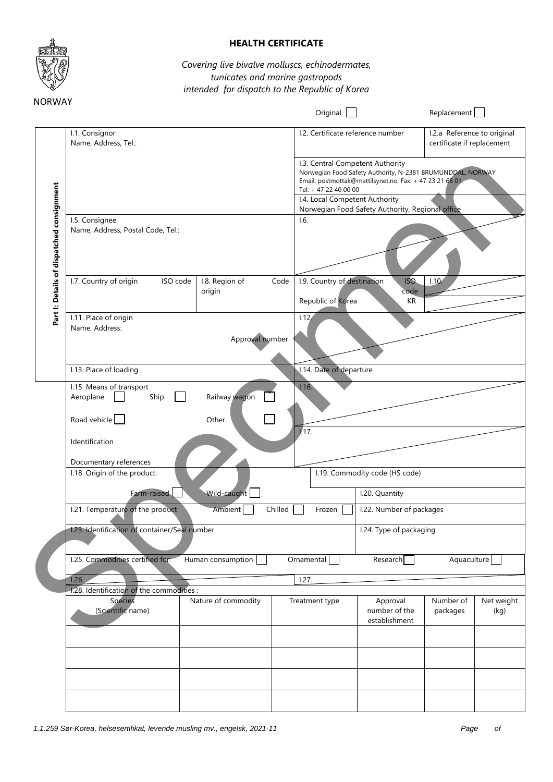

## **HEALTH CERTIFICATE**

## *Covering live bivalve molluscs, echinodermates, tunicates and marine gastropods intended for dispatch to the Republic of Korea*

|                                           |                                                                                                           |                          |                | Original                                         |                                                                                                                                                                                                                                                  | Replacement                                               |                    |
|-------------------------------------------|-----------------------------------------------------------------------------------------------------------|--------------------------|----------------|--------------------------------------------------|--------------------------------------------------------------------------------------------------------------------------------------------------------------------------------------------------------------------------------------------------|-----------------------------------------------------------|--------------------|
|                                           | I.1. Consignor<br>Name, Address, Tel.:                                                                    |                          |                |                                                  | I.2. Certificate reference number                                                                                                                                                                                                                | I.2.a Reference to original<br>certificate if replacement |                    |
|                                           |                                                                                                           |                          |                | Tel: + 47 22 40 00 00                            | I.3. Central Competent Authority<br>Norwegian Food Safety Authority, N-2381 BRUMUNDDAL, NORWAY<br>Email: postmottak@mattilsynet.no, Fax: + 47 23 21 68 01,<br>I.4. Local Competent Authority<br>Norwegian Food Safety Authority, Regional office |                                                           |                    |
| Part I: Details of dispatched consignment | I.5. Consignee<br>Name, Address, Postal Code, Tel.:                                                       |                          | 1.6.           |                                                  |                                                                                                                                                                                                                                                  |                                                           |                    |
|                                           | I.7. Country of origin<br>ISO code                                                                        | I.8. Region of<br>origin | Code           | I.9. Country of destination<br>Republic of Korea | ISO.<br>code<br>KR                                                                                                                                                                                                                               | 1.10.                                                     |                    |
|                                           | I.11. Place of origin<br>Name, Address:                                                                   | Approval number          | 1.12.          |                                                  |                                                                                                                                                                                                                                                  |                                                           |                    |
|                                           | I.13. Place of loading                                                                                    |                          |                | 1.14. Date of departure                          |                                                                                                                                                                                                                                                  |                                                           |                    |
|                                           | I.15. Means of transport<br>Aeroplane<br>Ship<br>Road vehicle<br>Identification<br>Documentary references | Railway wagon<br>Other   | 1.16.<br>1.17. |                                                  |                                                                                                                                                                                                                                                  |                                                           |                    |
|                                           | I.18. Origin of the product:<br>Farm-raised<br>Wild-caught                                                |                          |                | I.19. Commodity code (HS code)                   |                                                                                                                                                                                                                                                  |                                                           |                    |
|                                           |                                                                                                           |                          |                | I.20. Quantity                                   |                                                                                                                                                                                                                                                  |                                                           |                    |
|                                           | I.21. Temperature of the product<br>Ambient<br>Chilled                                                    |                          |                | I.22. Number of packages<br>Frozen               |                                                                                                                                                                                                                                                  |                                                           |                    |
|                                           | 1.23. Identification of container/Seal number                                                             |                          |                |                                                  | I.24. Type of packaging                                                                                                                                                                                                                          |                                                           |                    |
|                                           | I.25. Commodities certified for:<br>1.26.                                                                 | Human consumption        | Ornamental     |                                                  | Research                                                                                                                                                                                                                                         | Aquaculture                                               |                    |
|                                           | 1.28. Identification of the commodities :                                                                 |                          | 1.27.          |                                                  |                                                                                                                                                                                                                                                  |                                                           |                    |
|                                           | Species<br>(Scientific name)                                                                              | Nature of commodity      |                | Treatment type                                   | Approval<br>number of the<br>establishment                                                                                                                                                                                                       | Number of<br>packages                                     | Net weight<br>(kg) |
|                                           |                                                                                                           |                          |                |                                                  |                                                                                                                                                                                                                                                  |                                                           |                    |
|                                           |                                                                                                           |                          |                |                                                  |                                                                                                                                                                                                                                                  |                                                           |                    |
|                                           |                                                                                                           |                          |                |                                                  |                                                                                                                                                                                                                                                  |                                                           |                    |
|                                           |                                                                                                           |                          |                |                                                  |                                                                                                                                                                                                                                                  |                                                           |                    |